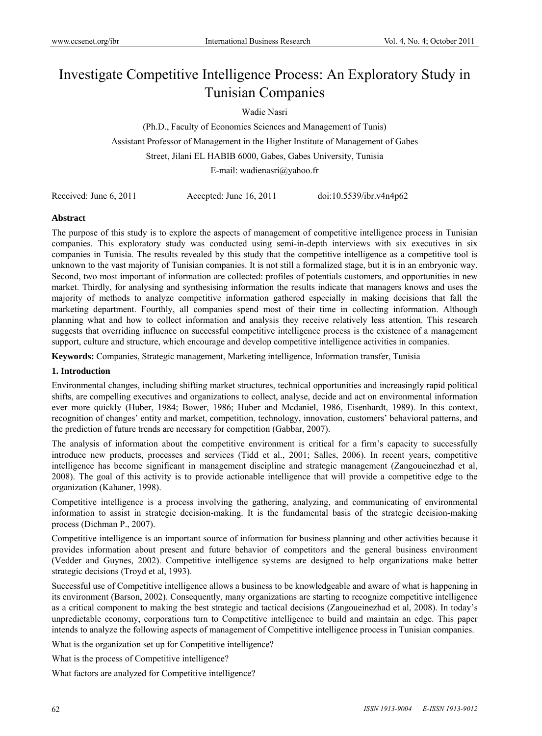# Investigate Competitive Intelligence Process: An Exploratory Study in Tunisian Companies

# Wadie Nasri

(Ph.D., Faculty of Economics Sciences and Management of Tunis) Assistant Professor of Management in the Higher Institute of Management of Gabes Street, Jilani EL HABIB 6000, Gabes, Gabes University, Tunisia E-mail: wadienasri@yahoo.fr

Received: June 6, 2011 Accepted: June 16, 2011 doi:10.5539/ibr.v4n4p62

## **Abstract**

The purpose of this study is to explore the aspects of management of competitive intelligence process in Tunisian companies. This exploratory study was conducted using semi-in-depth interviews with six executives in six companies in Tunisia. The results revealed by this study that the competitive intelligence as a competitive tool is unknown to the vast majority of Tunisian companies. It is not still a formalized stage, but it is in an embryonic way. Second, two most important of information are collected: profiles of potentials customers, and opportunities in new market. Thirdly, for analysing and synthesising information the results indicate that managers knows and uses the majority of methods to analyze competitive information gathered especially in making decisions that fall the marketing department. Fourthly, all companies spend most of their time in collecting information. Although planning what and how to collect information and analysis they receive relatively less attention. This research suggests that overriding influence on successful competitive intelligence process is the existence of a management support, culture and structure, which encourage and develop competitive intelligence activities in companies.

**Keywords:** Companies, Strategic management, Marketing intelligence, Information transfer, Tunisia

## **1. Introduction**

Environmental changes, including shifting market structures, technical opportunities and increasingly rapid political shifts, are compelling executives and organizations to collect, analyse, decide and act on environmental information ever more quickly (Huber, 1984; Bower, 1986; Huber and Mcdaniel, 1986, Eisenhardt, 1989). In this context, recognition of changes' entity and market, competition, technology, innovation, customers' behavioral patterns, and the prediction of future trends are necessary for competition (Gabbar, 2007).

The analysis of information about the competitive environment is critical for a firm's capacity to successfully introduce new products, processes and services (Tidd et al., 2001; Salles, 2006). In recent years, competitive intelligence has become significant in management discipline and strategic management (Zangoueinezhad et al, 2008). The goal of this activity is to provide actionable intelligence that will provide a competitive edge to the organization (Kahaner, 1998).

Competitive intelligence is a process involving the gathering, analyzing, and communicating of environmental information to assist in strategic decision-making. It is the fundamental basis of the strategic decision-making process (Dichman P., 2007).

Competitive intelligence is an important source of information for business planning and other activities because it provides information about present and future behavior of competitors and the general business environment (Vedder and Guynes, 2002). Competitive intelligence systems are designed to help organizations make better strategic decisions (Troyd et al, 1993).

Successful use of Competitive intelligence allows a business to be knowledgeable and aware of what is happening in its environment (Barson, 2002). Consequently, many organizations are starting to recognize competitive intelligence as a critical component to making the best strategic and tactical decisions (Zangoueinezhad et al, 2008). In today's unpredictable economy, corporations turn to Competitive intelligence to build and maintain an edge. This paper intends to analyze the following aspects of management of Competitive intelligence process in Tunisian companies.

What is the organization set up for Competitive intelligence?

What is the process of Competitive intelligence?

What factors are analyzed for Competitive intelligence?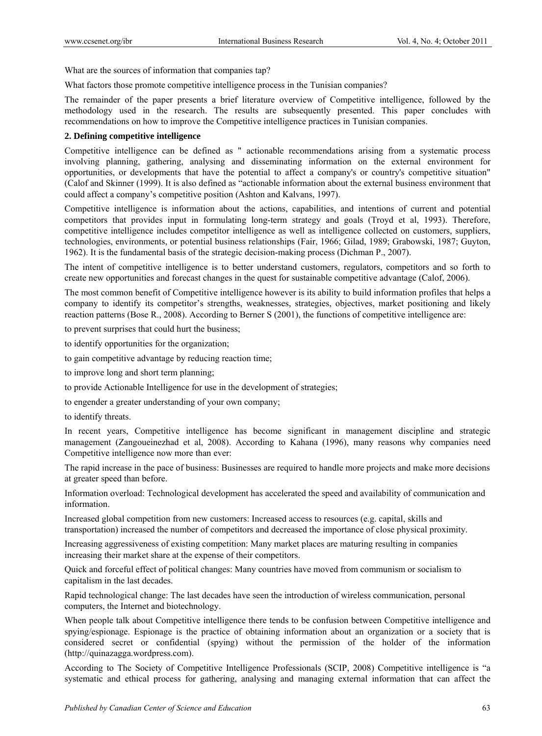What are the sources of information that companies tap?

What factors those promote competitive intelligence process in the Tunisian companies?

The remainder of the paper presents a brief literature overview of Competitive intelligence, followed by the methodology used in the research. The results are subsequently presented. This paper concludes with recommendations on how to improve the Competitive intelligence practices in Tunisian companies.

## **2. Defining competitive intelligence**

Competitive intelligence can be defined as " actionable recommendations arising from a systematic process involving planning, gathering, analysing and disseminating information on the external environment for opportunities, or developments that have the potential to affect a company's or country's competitive situation" (Calof and Skinner (1999). It is also defined as "actionable information about the external business environment that could affect a company's competitive position (Ashton and Kalvans, 1997).

Competitive intelligence is information about the actions, capabilities, and intentions of current and potential competitors that provides input in formulating long-term strategy and goals (Troyd et al, 1993). Therefore, competitive intelligence includes competitor intelligence as well as intelligence collected on customers, suppliers, technologies, environments, or potential business relationships (Fair, 1966; Gilad, 1989; Grabowski, 1987; Guyton, 1962). It is the fundamental basis of the strategic decision-making process (Dichman P., 2007).

The intent of competitive intelligence is to better understand customers, regulators, competitors and so forth to create new opportunities and forecast changes in the quest for sustainable competitive advantage (Calof, 2006).

The most common benefit of Competitive intelligence however is its ability to build information profiles that helps a company to identify its competitor's strengths, weaknesses, strategies, objectives, market positioning and likely reaction patterns (Bose R., 2008). According to Berner S (2001), the functions of competitive intelligence are:

to prevent surprises that could hurt the business;

to identify opportunities for the organization;

to gain competitive advantage by reducing reaction time;

to improve long and short term planning;

to provide Actionable Intelligence for use in the development of strategies;

to engender a greater understanding of your own company;

to identify threats.

In recent years, Competitive intelligence has become significant in management discipline and strategic management (Zangoueinezhad et al, 2008). According to Kahana (1996), many reasons why companies need Competitive intelligence now more than ever:

The rapid increase in the pace of business: Businesses are required to handle more projects and make more decisions at greater speed than before.

Information overload: Technological development has accelerated the speed and availability of communication and information.

Increased global competition from new customers: Increased access to resources (e.g. capital, skills and transportation) increased the number of competitors and decreased the importance of close physical proximity.

Increasing aggressiveness of existing competition: Many market places are maturing resulting in companies increasing their market share at the expense of their competitors.

Quick and forceful effect of political changes: Many countries have moved from communism or socialism to capitalism in the last decades.

Rapid technological change: The last decades have seen the introduction of wireless communication, personal computers, the Internet and biotechnology.

When people talk about Competitive intelligence there tends to be confusion between Competitive intelligence and spying/espionage. Espionage is the practice of obtaining information about an organization or a society that is considered secret or confidential (spying) without the permission of the holder of the information (http://quinazagga.wordpress.com).

According to The Society of Competitive Intelligence Professionals (SCIP, 2008) Competitive intelligence is "a systematic and ethical process for gathering, analysing and managing external information that can affect the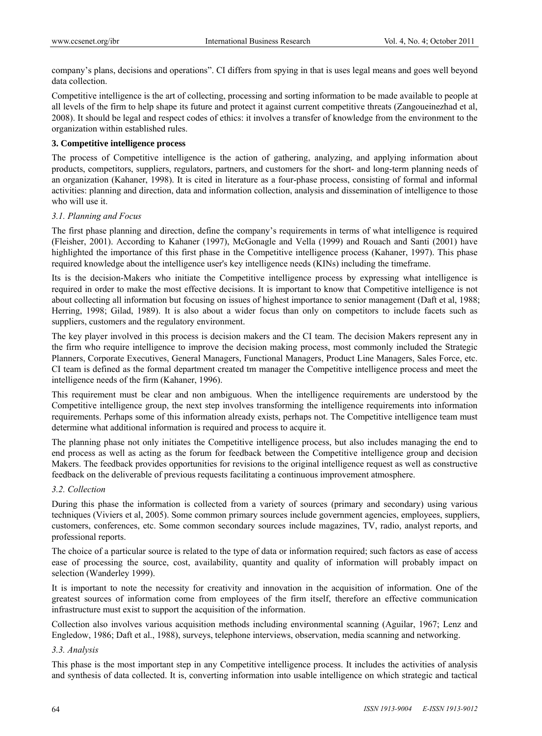company's plans, decisions and operations". CI differs from spying in that is uses legal means and goes well beyond data collection.

Competitive intelligence is the art of collecting, processing and sorting information to be made available to people at all levels of the firm to help shape its future and protect it against current competitive threats (Zangoueinezhad et al, 2008). It should be legal and respect codes of ethics: it involves a transfer of knowledge from the environment to the organization within established rules.

# **3. Competitive intelligence process**

The process of Competitive intelligence is the action of gathering, analyzing, and applying information about products, competitors, suppliers, regulators, partners, and customers for the short- and long-term planning needs of an organization (Kahaner, 1998). It is cited in literature as a four-phase process, consisting of formal and informal activities: planning and direction, data and information collection, analysis and dissemination of intelligence to those who will use it.

# *3.1. Planning and Focus*

The first phase planning and direction, define the company's requirements in terms of what intelligence is required (Fleisher, 2001). According to Kahaner (1997), McGonagle and Vella (1999) and Rouach and Santi (2001) have highlighted the importance of this first phase in the Competitive intelligence process (Kahaner, 1997). This phase required knowledge about the intelligence user's key intelligence needs (KINs) including the timeframe.

Its is the decision-Makers who initiate the Competitive intelligence process by expressing what intelligence is required in order to make the most effective decisions. It is important to know that Competitive intelligence is not about collecting all information but focusing on issues of highest importance to senior management (Daft et al, 1988; Herring, 1998; Gilad, 1989). It is also about a wider focus than only on competitors to include facets such as suppliers, customers and the regulatory environment.

The key player involved in this process is decision makers and the CI team. The decision Makers represent any in the firm who require intelligence to improve the decision making process, most commonly included the Strategic Planners, Corporate Executives, General Managers, Functional Managers, Product Line Managers, Sales Force, etc. CI team is defined as the formal department created tm manager the Competitive intelligence process and meet the intelligence needs of the firm (Kahaner, 1996).

This requirement must be clear and non ambiguous. When the intelligence requirements are understood by the Competitive intelligence group, the next step involves transforming the intelligence requirements into information requirements. Perhaps some of this information already exists, perhaps not. The Competitive intelligence team must determine what additional information is required and process to acquire it.

The planning phase not only initiates the Competitive intelligence process, but also includes managing the end to end process as well as acting as the forum for feedback between the Competitive intelligence group and decision Makers. The feedback provides opportunities for revisions to the original intelligence request as well as constructive feedback on the deliverable of previous requests facilitating a continuous improvement atmosphere.

#### *3.2. Collection*

During this phase the information is collected from a variety of sources (primary and secondary) using various techniques (Viviers et al, 2005). Some common primary sources include government agencies, employees, suppliers, customers, conferences, etc. Some common secondary sources include magazines, TV, radio, analyst reports, and professional reports.

The choice of a particular source is related to the type of data or information required; such factors as ease of access ease of processing the source, cost, availability, quantity and quality of information will probably impact on selection (Wanderley 1999).

It is important to note the necessity for creativity and innovation in the acquisition of information. One of the greatest sources of information come from employees of the firm itself, therefore an effective communication infrastructure must exist to support the acquisition of the information.

Collection also involves various acquisition methods including environmental scanning (Aguilar, 1967; Lenz and Engledow, 1986; Daft et al., 1988), surveys, telephone interviews, observation, media scanning and networking.

#### *3.3. Analysis*

This phase is the most important step in any Competitive intelligence process. It includes the activities of analysis and synthesis of data collected. It is, converting information into usable intelligence on which strategic and tactical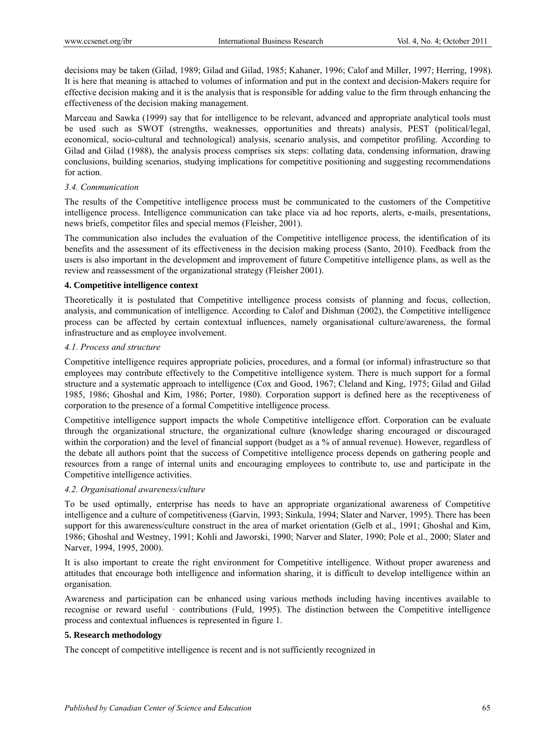decisions may be taken (Gilad, 1989; Gilad and Gilad, 1985; Kahaner, 1996; Calof and Miller, 1997; Herring, 1998). It is here that meaning is attached to volumes of information and put in the context and decision-Makers require for effective decision making and it is the analysis that is responsible for adding value to the firm through enhancing the effectiveness of the decision making management.

Marceau and Sawka (1999) say that for intelligence to be relevant, advanced and appropriate analytical tools must be used such as SWOT (strengths, weaknesses, opportunities and threats) analysis, PEST (political/legal, economical, socio-cultural and technological) analysis, scenario analysis, and competitor profiling. According to Gilad and Gilad (1988), the analysis process comprises six steps: collating data, condensing information, drawing conclusions, building scenarios, studying implications for competitive positioning and suggesting recommendations for action.

# *3.4. Communication*

The results of the Competitive intelligence process must be communicated to the customers of the Competitive intelligence process. Intelligence communication can take place via ad hoc reports, alerts, e-mails, presentations, news briefs, competitor files and special memos (Fleisher, 2001).

The communication also includes the evaluation of the Competitive intelligence process, the identification of its benefits and the assessment of its effectiveness in the decision making process (Santo, 2010). Feedback from the users is also important in the development and improvement of future Competitive intelligence plans, as well as the review and reassessment of the organizational strategy (Fleisher 2001).

#### **4. Competitive intelligence context**

Theoretically it is postulated that Competitive intelligence process consists of planning and focus, collection, analysis, and communication of intelligence. According to Calof and Dishman (2002), the Competitive intelligence process can be affected by certain contextual influences, namely organisational culture/awareness, the formal infrastructure and as employee involvement.

## *4.1. Process and structure*

Competitive intelligence requires appropriate policies, procedures, and a formal (or informal) infrastructure so that employees may contribute effectively to the Competitive intelligence system. There is much support for a formal structure and a systematic approach to intelligence (Cox and Good, 1967; Cleland and King, 1975; Gilad and Gilad 1985, 1986; Ghoshal and Kim, 1986; Porter, 1980). Corporation support is defined here as the receptiveness of corporation to the presence of a formal Competitive intelligence process.

Competitive intelligence support impacts the whole Competitive intelligence effort. Corporation can be evaluate through the organizational structure, the organizational culture (knowledge sharing encouraged or discouraged within the corporation) and the level of financial support (budget as a % of annual revenue). However, regardless of the debate all authors point that the success of Competitive intelligence process depends on gathering people and resources from a range of internal units and encouraging employees to contribute to, use and participate in the Competitive intelligence activities.

## *4.2. Organisational awareness/culture*

To be used optimally, enterprise has needs to have an appropriate organizational awareness of Competitive intelligence and a culture of competitiveness (Garvin, 1993; Sinkula, 1994; Slater and Narver, 1995). There has been support for this awareness/culture construct in the area of market orientation (Gelb et al., 1991; Ghoshal and Kim, 1986; Ghoshal and Westney, 1991; Kohli and Jaworski, 1990; Narver and Slater, 1990; Pole et al., 2000; Slater and Narver, 1994, 1995, 2000).

It is also important to create the right environment for Competitive intelligence. Without proper awareness and attitudes that encourage both intelligence and information sharing, it is difficult to develop intelligence within an organisation.

Awareness and participation can be enhanced using various methods including having incentives available to recognise or reward useful · contributions (Fuld, 1995). The distinction between the Competitive intelligence process and contextual influences is represented in figure 1.

## **5. Research methodology**

The concept of competitive intelligence is recent and is not sufficiently recognized in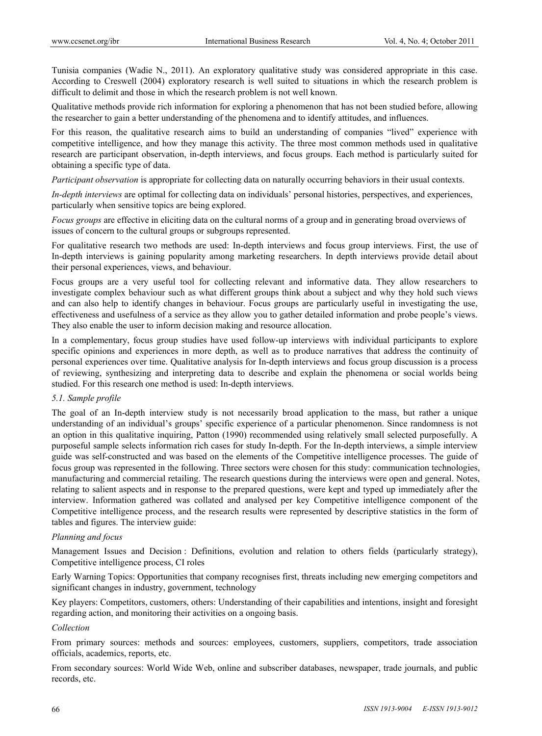Tunisia companies (Wadie N., 2011). An exploratory qualitative study was considered appropriate in this case. According to Creswell (2004) exploratory research is well suited to situations in which the research problem is difficult to delimit and those in which the research problem is not well known.

Qualitative methods provide rich information for exploring a phenomenon that has not been studied before, allowing the researcher to gain a better understanding of the phenomena and to identify attitudes, and influences.

For this reason, the qualitative research aims to build an understanding of companies "lived" experience with competitive intelligence, and how they manage this activity. The three most common methods used in qualitative research are participant observation, in-depth interviews, and focus groups. Each method is particularly suited for obtaining a specific type of data.

*Participant observation* is appropriate for collecting data on naturally occurring behaviors in their usual contexts.

*In-depth interviews* are optimal for collecting data on individuals' personal histories, perspectives, and experiences, particularly when sensitive topics are being explored.

*Focus groups* are effective in eliciting data on the cultural norms of a group and in generating broad overviews of issues of concern to the cultural groups or subgroups represented.

For qualitative research two methods are used: In-depth interviews and focus group interviews. First, the use of In-depth interviews is gaining popularity among marketing researchers. In depth interviews provide detail about their personal experiences, views, and behaviour.

Focus groups are a very useful tool for collecting relevant and informative data. They allow researchers to investigate complex behaviour such as what different groups think about a subject and why they hold such views and can also help to identify changes in behaviour. Focus groups are particularly useful in investigating the use, effectiveness and usefulness of a service as they allow you to gather detailed information and probe people's views. They also enable the user to inform decision making and resource allocation.

In a complementary, focus group studies have used follow-up interviews with individual participants to explore specific opinions and experiences in more depth, as well as to produce narratives that address the continuity of personal experiences over time. Qualitative analysis for In-depth interviews and focus group discussion is a process of reviewing, synthesizing and interpreting data to describe and explain the phenomena or social worlds being studied. For this research one method is used: In-depth interviews.

## *5.1. Sample profile*

The goal of an In-depth interview study is not necessarily broad application to the mass, but rather a unique understanding of an individual's groups' specific experience of a particular phenomenon. Since randomness is not an option in this qualitative inquiring, Patton (1990) recommended using relatively small selected purposefully. A purposeful sample selects information rich cases for study In-depth. For the In-depth interviews, a simple interview guide was self-constructed and was based on the elements of the Competitive intelligence processes. The guide of focus group was represented in the following. Three sectors were chosen for this study: communication technologies, manufacturing and commercial retailing. The research questions during the interviews were open and general. Notes, relating to salient aspects and in response to the prepared questions, were kept and typed up immediately after the interview. Information gathered was collated and analysed per key Competitive intelligence component of the Competitive intelligence process, and the research results were represented by descriptive statistics in the form of tables and figures. The interview guide:

# *Planning and focus*

Management Issues and Decision : Definitions, evolution and relation to others fields (particularly strategy), Competitive intelligence process, CI roles

Early Warning Topics: Opportunities that company recognises first, threats including new emerging competitors and significant changes in industry, government, technology

Key players: Competitors, customers, others: Understanding of their capabilities and intentions, insight and foresight regarding action, and monitoring their activities on a ongoing basis.

#### *Collection*

From primary sources: methods and sources: employees, customers, suppliers, competitors, trade association officials, academics, reports, etc.

From secondary sources: World Wide Web, online and subscriber databases, newspaper, trade journals, and public records, etc.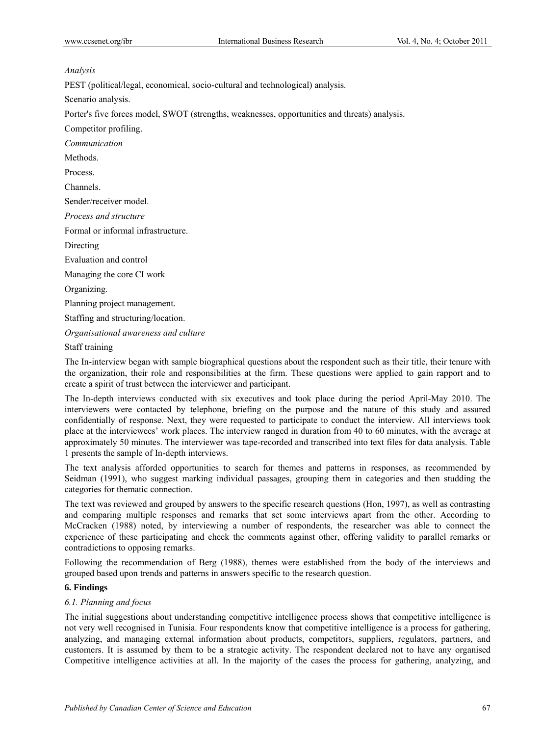## *Analysis*

PEST (political/legal, economical, socio-cultural and technological) analysis.

Scenario analysis.

Porter's five forces model, SWOT (strengths, weaknesses, opportunities and threats) analysis.

Competitor profiling.

*Communication* 

Methods.

**Process** 

Channels.

Sender/receiver model.

*Process and structure*

Formal or informal infrastructure.

Directing

Evaluation and control

Managing the core CI work

Organizing.

Planning project management.

Staffing and structuring/location.

*Organisational awareness and culture* 

#### Staff training

The In-interview began with sample biographical questions about the respondent such as their title, their tenure with the organization, their role and responsibilities at the firm. These questions were applied to gain rapport and to create a spirit of trust between the interviewer and participant.

The In-depth interviews conducted with six executives and took place during the period April-May 2010. The interviewers were contacted by telephone, briefing on the purpose and the nature of this study and assured confidentially of response. Next, they were requested to participate to conduct the interview. All interviews took place at the interviewees' work places. The interview ranged in duration from 40 to 60 minutes, with the average at approximately 50 minutes. The interviewer was tape-recorded and transcribed into text files for data analysis. Table 1 presents the sample of In-depth interviews.

The text analysis afforded opportunities to search for themes and patterns in responses, as recommended by Seidman (1991), who suggest marking individual passages, grouping them in categories and then studding the categories for thematic connection.

The text was reviewed and grouped by answers to the specific research questions (Hon, 1997), as well as contrasting and comparing multiple responses and remarks that set some interviews apart from the other. According to McCracken (1988) noted, by interviewing a number of respondents, the researcher was able to connect the experience of these participating and check the comments against other, offering validity to parallel remarks or contradictions to opposing remarks.

Following the recommendation of Berg (1988), themes were established from the body of the interviews and grouped based upon trends and patterns in answers specific to the research question.

## **6. Findings**

## *6.1. Planning and focus*

The initial suggestions about understanding competitive intelligence process shows that competitive intelligence is not very well recognised in Tunisia. Four respondents know that competitive intelligence is a process for gathering, analyzing, and managing external information about products, competitors, suppliers, regulators, partners, and customers. It is assumed by them to be a strategic activity. The respondent declared not to have any organised Competitive intelligence activities at all. In the majority of the cases the process for gathering, analyzing, and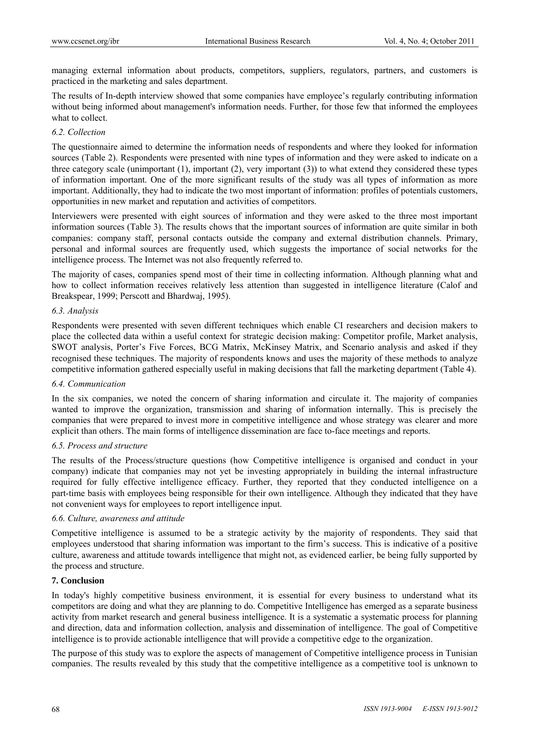managing external information about products, competitors, suppliers, regulators, partners, and customers is practiced in the marketing and sales department.

The results of In-depth interview showed that some companies have employee's regularly contributing information without being informed about management's information needs. Further, for those few that informed the employees what to collect.

## *6.2. Collection*

The questionnaire aimed to determine the information needs of respondents and where they looked for information sources (Table 2). Respondents were presented with nine types of information and they were asked to indicate on a three category scale (unimportant (1), important (2), very important (3)) to what extend they considered these types of information important. One of the more significant results of the study was all types of information as more important. Additionally, they had to indicate the two most important of information: profiles of potentials customers, opportunities in new market and reputation and activities of competitors.

Interviewers were presented with eight sources of information and they were asked to the three most important information sources (Table 3). The results chows that the important sources of information are quite similar in both companies: company staff, personal contacts outside the company and external distribution channels. Primary, personal and informal sources are frequently used, which suggests the importance of social networks for the intelligence process. The Internet was not also frequently referred to.

The majority of cases, companies spend most of their time in collecting information. Although planning what and how to collect information receives relatively less attention than suggested in intelligence literature (Calof and Breakspear, 1999; Perscott and Bhardwaj, 1995).

## *6.3. Analysis*

Respondents were presented with seven different techniques which enable CI researchers and decision makers to place the collected data within a useful context for strategic decision making: Competitor profile, Market analysis, SWOT analysis, Porter's Five Forces, BCG Matrix, McKinsey Matrix, and Scenario analysis and asked if they recognised these techniques. The majority of respondents knows and uses the majority of these methods to analyze competitive information gathered especially useful in making decisions that fall the marketing department (Table 4).

## *6.4. Communication*

In the six companies, we noted the concern of sharing information and circulate it. The majority of companies wanted to improve the organization, transmission and sharing of information internally. This is precisely the companies that were prepared to invest more in competitive intelligence and whose strategy was clearer and more explicit than others. The main forms of intelligence dissemination are face to-face meetings and reports.

# *6.5. Process and structure*

The results of the Process/structure questions (how Competitive intelligence is organised and conduct in your company) indicate that companies may not yet be investing appropriately in building the internal infrastructure required for fully effective intelligence efficacy. Further, they reported that they conducted intelligence on a part-time basis with employees being responsible for their own intelligence. Although they indicated that they have not convenient ways for employees to report intelligence input.

## *6.6. Culture, awareness and attitude*

Competitive intelligence is assumed to be a strategic activity by the majority of respondents. They said that employees understood that sharing information was important to the firm's success. This is indicative of a positive culture, awareness and attitude towards intelligence that might not, as evidenced earlier, be being fully supported by the process and structure.

## **7. Conclusion**

In today's highly competitive business environment, it is essential for every business to understand what its competitors are doing and what they are planning to do. Competitive Intelligence has emerged as a separate business activity from market research and general business intelligence. It is a systematic a systematic process for planning and direction, data and information collection, analysis and dissemination of intelligence. The goal of Competitive intelligence is to provide actionable intelligence that will provide a competitive edge to the organization.

The purpose of this study was to explore the aspects of management of Competitive intelligence process in Tunisian companies. The results revealed by this study that the competitive intelligence as a competitive tool is unknown to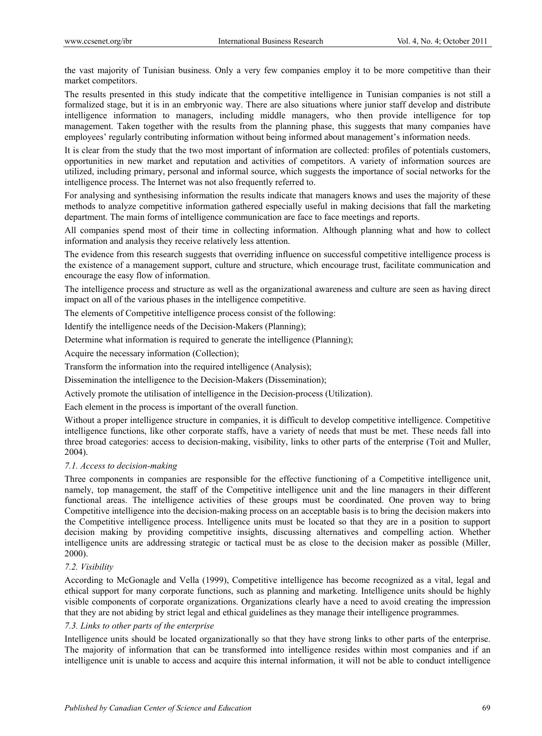the vast majority of Tunisian business. Only a very few companies employ it to be more competitive than their market competitors.

The results presented in this study indicate that the competitive intelligence in Tunisian companies is not still a formalized stage, but it is in an embryonic way. There are also situations where junior staff develop and distribute intelligence information to managers, including middle managers, who then provide intelligence for top management. Taken together with the results from the planning phase, this suggests that many companies have employees' regularly contributing information without being informed about management's information needs.

It is clear from the study that the two most important of information are collected: profiles of potentials customers, opportunities in new market and reputation and activities of competitors. A variety of information sources are utilized, including primary, personal and informal source, which suggests the importance of social networks for the intelligence process. The Internet was not also frequently referred to.

For analysing and synthesising information the results indicate that managers knows and uses the majority of these methods to analyze competitive information gathered especially useful in making decisions that fall the marketing department. The main forms of intelligence communication are face to face meetings and reports.

All companies spend most of their time in collecting information. Although planning what and how to collect information and analysis they receive relatively less attention.

The evidence from this research suggests that overriding influence on successful competitive intelligence process is the existence of a management support, culture and structure, which encourage trust, facilitate communication and encourage the easy flow of information.

The intelligence process and structure as well as the organizational awareness and culture are seen as having direct impact on all of the various phases in the intelligence competitive.

The elements of Competitive intelligence process consist of the following:

Identify the intelligence needs of the Decision-Makers (Planning);

Determine what information is required to generate the intelligence (Planning);

Acquire the necessary information (Collection);

Transform the information into the required intelligence (Analysis);

Dissemination the intelligence to the Decision-Makers (Dissemination);

Actively promote the utilisation of intelligence in the Decision-process (Utilization).

Each element in the process is important of the overall function.

Without a proper intelligence structure in companies, it is difficult to develop competitive intelligence. Competitive intelligence functions, like other corporate staffs, have a variety of needs that must be met. These needs fall into three broad categories: access to decision-making, visibility, links to other parts of the enterprise (Toit and Muller, 2004).

#### *7.1. Access to decision-making*

Three components in companies are responsible for the effective functioning of a Competitive intelligence unit, namely, top management, the staff of the Competitive intelligence unit and the line managers in their different functional areas. The intelligence activities of these groups must be coordinated. One proven way to bring Competitive intelligence into the decision-making process on an acceptable basis is to bring the decision makers into the Competitive intelligence process. Intelligence units must be located so that they are in a position to support decision making by providing competitive insights, discussing alternatives and compelling action. Whether intelligence units are addressing strategic or tactical must be as close to the decision maker as possible (Miller, 2000).

## *7.2. Visibility*

According to McGonagle and Vella (1999), Competitive intelligence has become recognized as a vital, legal and ethical support for many corporate functions, such as planning and marketing. Intelligence units should be highly visible components of corporate organizations. Organizations clearly have a need to avoid creating the impression that they are not abiding by strict legal and ethical guidelines as they manage their intelligence programmes.

## *7.3. Links to other parts of the enterprise*

Intelligence units should be located organizationally so that they have strong links to other parts of the enterprise. The majority of information that can be transformed into intelligence resides within most companies and if an intelligence unit is unable to access and acquire this internal information, it will not be able to conduct intelligence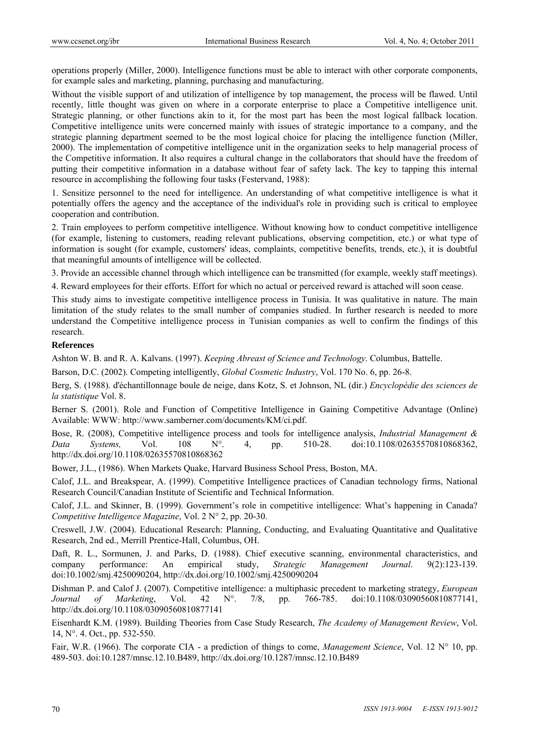operations properly (Miller, 2000). Intelligence functions must be able to interact with other corporate components, for example sales and marketing, planning, purchasing and manufacturing.

Without the visible support of and utilization of intelligence by top management, the process will be flawed. Until recently, little thought was given on where in a corporate enterprise to place a Competitive intelligence unit. Strategic planning, or other functions akin to it, for the most part has been the most logical fallback location. Competitive intelligence units were concerned mainly with issues of strategic importance to a company, and the strategic planning department seemed to be the most logical choice for placing the intelligence function (Miller, 2000). The implementation of competitive intelligence unit in the organization seeks to help managerial process of the Competitive information. It also requires a cultural change in the collaborators that should have the freedom of putting their competitive information in a database without fear of safety lack. The key to tapping this internal resource in accomplishing the following four tasks (Festervand, 1988):

1. Sensitize personnel to the need for intelligence. An understanding of what competitive intelligence is what it potentially offers the agency and the acceptance of the individual's role in providing such is critical to employee cooperation and contribution.

2. Train employees to perform competitive intelligence. Without knowing how to conduct competitive intelligence (for example, listening to customers, reading relevant publications, observing competition, etc.) or what type of information is sought (for example, customers' ideas, complaints, competitive benefits, trends, etc.), it is doubtful that meaningful amounts of intelligence will be collected.

3. Provide an accessible channel through which intelligence can be transmitted (for example, weekly staff meetings).

4. Reward employees for their efforts. Effort for which no actual or perceived reward is attached will soon cease.

This study aims to investigate competitive intelligence process in Tunisia. It was qualitative in nature. The main limitation of the study relates to the small number of companies studied. In further research is needed to more understand the Competitive intelligence process in Tunisian companies as well to confirm the findings of this research.

#### **References**

Ashton W. B. and R. A. Kalvans. (1997). *Keeping Abreast of Science and Technology*. Columbus, Battelle.

Barson, D.C. (2002). Competing intelligently, *Global Cosmetic Industry*, Vol. 170 No. 6, pp. 26-8.

Berg, S. (1988). d'échantillonnage boule de neige, dans Kotz, S. et Johnson, NL (dir.) *Encyclopédie des sciences de la statistique* Vol. 8.

Berner S. (2001). Role and Function of Competitive Intelligence in Gaining Competitive Advantage (Online) Available: WWW: http://www.samberner.com/documents/KM/ci.pdf.

Bose, R. (2008), Competitive intelligence process and tools for intelligence analysis, *Industrial Management & Data Systems,* Vol. 108 N°. 4, pp. 510-28. doi:10.1108/02635570810868362, http://dx.doi.org/10.1108/02635570810868362

Bower, J.L., (1986). When Markets Quake, Harvard Business School Press, Boston, MA.

Calof, J.L. and Breakspear, A. (1999). Competitive Intelligence practices of Canadian technology firms, National Research Council/Canadian Institute of Scientific and Technical Information.

Calof, J.L. and Skinner, B. (1999). Government's role in competitive intelligence: What's happening in Canada? *Competitive Intelligence Magazine*, Vol. 2 N° 2, pp. 20-30.

Creswell, J.W. (2004). Educational Research: Planning, Conducting, and Evaluating Quantitative and Qualitative Research, 2nd ed., Merrill Prentice-Hall, Columbus, OH.

Daft, R. L., Sormunen, J. and Parks, D. (1988). Chief executive scanning, environmental characteristics, and company performance: An empirical study, *Strategic Management Journal*. 9(2):123-139. doi:10.1002/smj.4250090204, http://dx.doi.org/10.1002/smj.4250090204

Dishman P. and Calof J. (2007). Competitive intelligence: a multiphasic precedent to marketing strategy, *European Journal of Marketing*, Vol. 42 N°. 7/8, pp. 766-785. doi:10.1108/03090560810877141, http://dx.doi.org/10.1108/03090560810877141

Eisenhardt K.M. (1989). Building Theories from Case Study Research, *The Academy of Management Review*, Vol. 14, N°. 4. Oct., pp. 532-550.

Fair, W.R. (1966). The corporate CIA - a prediction of things to come, *Management Science*, Vol. 12 N° 10, pp. 489-503. doi:10.1287/mnsc.12.10.B489, http://dx.doi.org/10.1287/mnsc.12.10.B489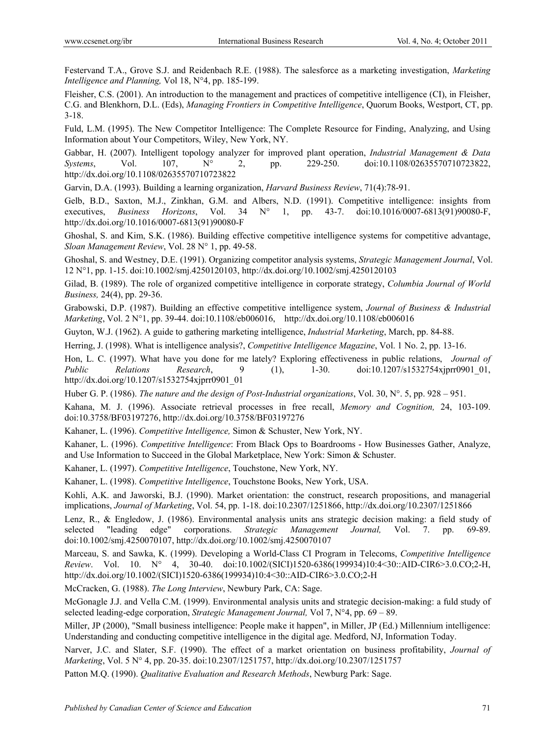Festervand T.A., Grove S.J. and Reidenbach R.E. (1988). The salesforce as a marketing investigation, *Marketing Intelligence and Planning,* Vol 18, N°4, pp. 185-199.

Fleisher, C.S. (2001). An introduction to the management and practices of competitive intelligence (CI), in Fleisher, C.G. and Blenkhorn, D.L. (Eds), *Managing Frontiers in Competitive Intelligence*, Quorum Books, Westport, CT, pp. 3-18.

Fuld, L.M. (1995). The New Competitor Intelligence: The Complete Resource for Finding, Analyzing, and Using Information about Your Competitors, Wiley, New York, NY.

Gabbar, H. (2007). Intelligent topology analyzer for improved plant operation, *Industrial Management & Data Systems*, Vol. 107, N° 2, pp. 229-250. doi:10.1108/02635570710723822, http://dx.doi.org/10.1108/02635570710723822

Garvin, D.A. (1993). Building a learning organization, *Harvard Business Review*, 71(4):78-91.

Gelb, B.D., Saxton, M.J., Zinkhan, G.M. and Albers, N.D. (1991). Competitive intelligence: insights from executives, *Business Horizons*, Vol. 34 N° 1, pp. 43-7. doi:10.1016/0007-6813(91)90080-F, http://dx.doi.org/10.1016/0007-6813(91)90080-F

Ghoshal, S. and Kim, S.K. (1986). Building effective competitive intelligence systems for competitive advantage, *Sloan Management Review*, Vol. 28 N° 1, pp. 49-58.

Ghoshal, S. and Westney, D.E. (1991). Organizing competitor analysis systems, *Strategic Management Journal*, Vol. 12 N°1, pp. 1-15. doi:10.1002/smj.4250120103, http://dx.doi.org/10.1002/smj.4250120103

Gilad, B. (1989). The role of organized competitive intelligence in corporate strategy, *Columbia Journal of World Business,* 24(4), pp. 29-36.

Grabowski, D.P. (1987). Building an effective competitive intelligence system, *Journal of Business & Industrial Marketing*, Vol. 2 N°1, pp. 39-44. doi:10.1108/eb006016, http://dx.doi.org/10.1108/eb006016

Guyton, W.J. (1962). A guide to gathering marketing intelligence, *Industrial Marketing*, March, pp. 84-88.

Herring, J. (1998). What is intelligence analysis?, *Competitive Intelligence Magazine*, Vol. 1 No. 2, pp. 13-16.

Hon, L. C. (1997). What have you done for me lately? Exploring effectiveness in public relations, *Journal of Public Relations Research*, 9 (1), 1-30. doi:10.1207/s1532754xjprr0901\_01, http://dx.doi.org/10.1207/s1532754xjprr0901\_01

Huber G. P. (1986). *The nature and the design of Post-Industrial organizations*, Vol. 30, N°. 5, pp. 928 – 951.

Kahana, M. J. (1996). Associate retrieval processes in free recall, *Memory and Cognition,* 24, 103-109. doi:10.3758/BF03197276, http://dx.doi.org/10.3758/BF03197276

Kahaner, L. (1996). *Competitive Intelligence,* Simon & Schuster, New York, NY.

Kahaner, L. (1996). *Competitive Intelligence*: From Black Ops to Boardrooms - How Businesses Gather, Analyze, and Use Information to Succeed in the Global Marketplace, New York: Simon & Schuster.

Kahaner, L. (1997). *Competitive Intelligence*, Touchstone, New York, NY.

Kahaner, L. (1998). *Competitive Intelligence*, Touchstone Books, New York, USA.

Kohli, A.K. and Jaworski, B.J. (1990). Market orientation: the construct, research propositions, and managerial implications, *Journal of Marketing*, Vol. 54, pp. 1-18. doi:10.2307/1251866, http://dx.doi.org/10.2307/1251866

Lenz, R., & Engledow, J. (1986). Environmental analysis units ans strategic decision making: a field study of selected "leading edge" corporations. *Strategic Management Journal,* Vol. 7. pp. 69-89. doi:10.1002/smj.4250070107, http://dx.doi.org/10.1002/smj.4250070107

Marceau, S. and Sawka, K. (1999). Developing a World-Class CI Program in Telecoms, *Competitive Intelligence Review*. Vol. 10. N° 4, 30-40. doi:10.1002/(SICI)1520-6386(199934)10:4<30::AID-CIR6>3.0.CO;2-H, http://dx.doi.org/10.1002/(SICI)1520-6386(199934)10:4<30::AID-CIR6>3.0.CO;2-H

McCracken, G. (1988). *The Long Interview*, Newbury Park, CA: Sage.

McGonagle J.J. and Vella C.M. (1999). Environmental analysis units and strategic decision-making: a fuld study of selected leading-edge corporation, *Strategic Management Journal,* Vol 7, N°4, pp. 69 – 89.

Miller, JP (2000), "Small business intelligence: People make it happen", in Miller, JP (Ed.) Millennium intelligence: Understanding and conducting competitive intelligence in the digital age. Medford, NJ, Information Today.

Narver, J.C. and Slater, S.F. (1990). The effect of a market orientation on business profitability, *Journal of Marketing*, Vol. 5 N° 4, pp. 20-35. doi:10.2307/1251757, http://dx.doi.org/10.2307/1251757

Patton M.Q. (1990). *Qualitative Evaluation and Research Methods*, Newburg Park: Sage.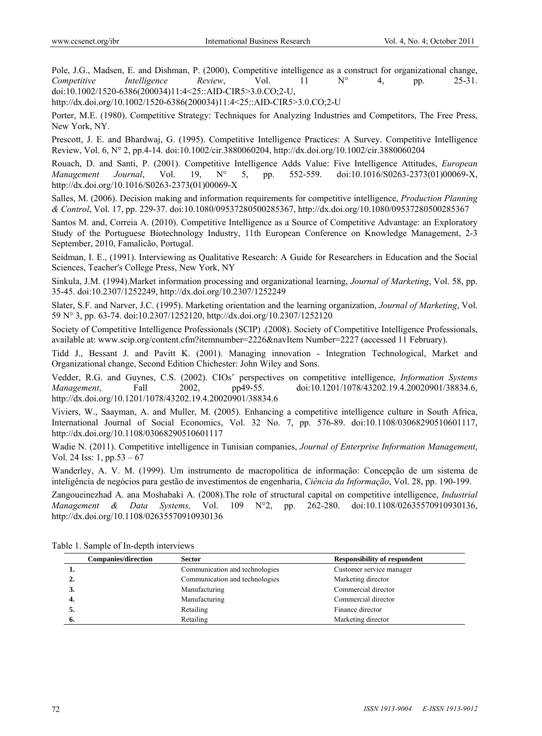Pole, J.G., Madsen, E. and Dishman, P. (2000), Competitive intelligence as a construct for organizational change, *Competitive Intelligence Review*, Vol. 11 N° 4, pp. 25-31. doi:10.1002/1520-6386(200034)11:4<25::AID-CIR5>3.0.CO;2-U,

http://dx.doi.org/10.1002/1520-6386(200034)11:4<25::AID-CIR5>3.0.CO;2-U

Porter, M.E. (1980). Competitive Strategy: Techniques for Analyzing Industries and Competitors, The Free Press, New York, NY.

Prescott, J. E. and Bhardwaj, G. (1995). Competitive Intelligence Practices: A Survey. Competitive Intelligence Review, Vol. 6, N° 2, pp.4-14. doi:10.1002/cir.3880060204, http://dx.doi.org/10.1002/cir.3880060204

Rouach, D. and Santi, P. (2001). Competitive Intelligence Adds Value: Five Intelligence Attitudes, *European Management Journal*, Vol. 19, N° 5, pp. 552-559. doi:10.1016/S0263-2373(01)00069-X, http://dx.doi.org/10.1016/S0263-2373(01)00069-X

Salles, M. (2006). Decision making and information requirements for competitive intelligence, *Production Planning & Control*, Vol. 17, pp. 229-37. doi:10.1080/09537280500285367, http://dx.doi.org/10.1080/09537280500285367

Santos M. and, Correia A. (2010). Competitive Intelligence as a Source of Competitive Advantage: an Exploratory Study of the Portuguese Biotechnology Industry, 11th European Conference on Knowledge Management, 2-3 September, 2010, Famalicão, Portugal.

Seidman, I. E., (1991). Interviewing as Qualitative Research: A Guide for Researchers in Education and the Social Sciences, Teacher's College Press, New York, NY

Sinkula, J.M. (1994).Market information processing and organizational learning, *Journal of Marketing*, Vol. 58, pp. 35-45. doi:10.2307/1252249, http://dx.doi.org/10.2307/1252249

Slater, S.F. and Narver, J.C. (1995). Marketing orientation and the learning organization, *Journal of Marketing*, Vol. 59 N° 3, pp. 63-74. doi:10.2307/1252120, http://dx.doi.org/10.2307/1252120

Society of Competitive Intelligence Professionals (SCIP) .(2008). Society of Competitive Intelligence Professionals, available at: www.scip.org/content.cfm?itemnumber=2226&navItem Number=2227 (accessed 11 February).

Tidd J., Bessant J. and Pavitt K. (2001). Managing innovation - Integration Technological, Market and Organizational change, Second Edition Chichester: John Wiley and Sons.

Vedder, R.G. and Guynes, C.S. (2002). CIOs' perspectives on competitive intelligence, *Information Systems Management*, Fall 2002, pp49-55. doi:10.1201/1078/43202.19.4.20020901/38834.6, http://dx.doi.org/10.1201/1078/43202.19.4.20020901/38834.6

Viviers, W., Saayman, A. and Muller, M. (2005). Enhancing a competitive intelligence culture in South Africa, International Journal of Social Economics, Vol. 32 No. 7, pp. 576-89. doi:10.1108/03068290510601117, http://dx.doi.org/10.1108/03068290510601117

Wadie N. (2011). Competitive intelligence in Tunisian companies, *Journal of Enterprise Information Management*, Vol. 24 Iss: 1, pp.53 – 67

Wanderley, A. V. M. (1999). Um instrumento de macropolítica de informação: Concepção de um sistema de inteligência de negócios para gestão de investimentos de engenharia, *Ciência da Informação*, Vol. 28, pp. 190-199.

Zangoueinezhad A. ana Moshabaki A. (2008).The role of structural capital on competitive intelligence, *Industrial Management & Data Systems,* Vol. 109 N°2, pp. 262-280. doi:10.1108/02635570910930136, http://dx.doi.org/10.1108/02635570910930136

|          | <b>Companies/direction</b> | <b>Sector</b>                  | <b>Responsibility of respondent</b> |
|----------|----------------------------|--------------------------------|-------------------------------------|
| ı.       |                            | Communication and technologies | Customer service manager            |
| <u>.</u> |                            | Communication and technologies | Marketing director                  |
| 3.       |                            | Manufacturing                  | Commercial director                 |
| -4.      |                            | Manufacturing                  | Commercial director                 |
| 5.       |                            | Retailing                      | Finance director                    |
|          |                            | Retailing                      | Marketing director                  |

Table 1. Sample of In-depth interviews